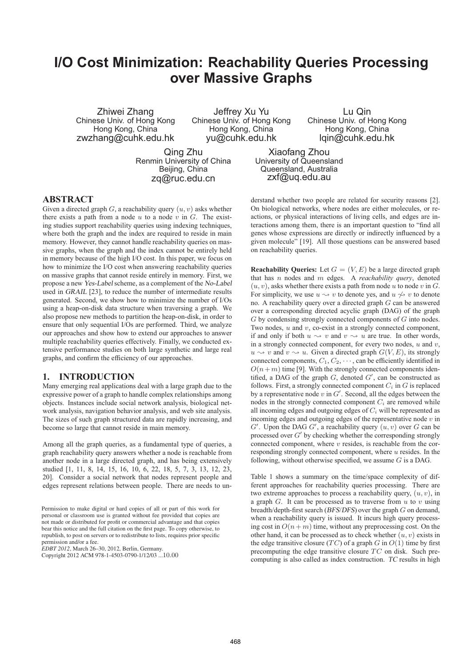# **I/O COST MINIMIZATION:** CONTRACT CONTRACT ON A CONTRACT OF THE STATE OF THE STATE OF THE STATE OF THE STATE OF THE STATE OF THE STATE OF THE STATE OF THE STATE OF THE STATE OF THE STATE OF THE STATE OF THE STATE OF THE ST **over Massive Graphs**

Zhiwei Zhang Chinese Univ. of Hong Kong Hong Kong, China zwzhang@cuhk.edu.hk

Jeffrey Xu Yu Chinese Univ. of Hong Kong Hong Kong, China yu@cuhk.edu.hk

Lu Qin Chinese Univ. of Hong Kong Hong Kong, China lqin@cuhk.edu.hk

Qing Zhu Renmin University of China Beijing, China zq@ruc.edu.cn

Xiaofang Zhou University of Queensland Queensland, Australia zxf@uq.edu.au

# **ABSTRACT**

Given a directed graph  $G$ , a reachability query  $(u, v)$  asks whether there exists a path from a node  $u$  to a node  $v$  in  $G$ . The existing studies support reachability queries using indexing techniques, where both the graph and the index are required to reside in main memory. However, they cannot handle reachability queries on massive graphs, when the graph and the index cannot be entirely held in memory because of the high I/O cost. In this paper, we focus on how to minimize the I/O cost when answering reachability queries on massive graphs that cannot reside entirely in memory. First, we propose a new Yes-Label scheme, as a complement of the No-Label used in GRAIL [23], to reduce the number of intermediate results generated. Second, we show how to minimize the number of I/Os using a heap-on-disk data structure when traversing a graph. We also propose new methods to partition the heap-on-disk, in order to ensure that only sequential I/Os are performed. Third, we analyze our approaches and show how to extend our approaches to answer multiple reachability queries effectively. Finally, we conducted extensive performance studies on both large synthetic and large real graphs, and confirm the efficiency of our approaches.

# **1. INTRODUCTION**

Many emerging real applications deal with a large graph due to the expressive power of a graph to handle complex relationships among objects. Instances include social network analysis, biological network analysis, navigation behavior analysis, and web site analysis. The sizes of such graph structured data are rapidly increasing, and become so large that cannot reside in main memory.

Among all the graph queries, as a fundamental type of queries, a graph reachability query answers whether a node is reachable from another node in a large directed graph, and has being extensively studied [1, 11, 8, 14, 15, 16, 10, 6, 22, 18, 5, 7, 3, 13, 12, 23, 20]. Consider a social network that nodes represent people and edges represent relations between people. There are needs to un-

Permission to make digital or hard copies of all or part of this work for personal or classroom use is granted without fee provided that copies are not made or distributed for profit or commercial advantage and that copies bear this notice and the full citation on the first page. To copy otherwise, to republish, to post on servers or to redistribute to lists, requires prior specific permission and/or a fee.

*EDBT 2012*, March 26–30, 2012, Berlin, Germany.

Copyright 2012 ACM 978-1-4503-0790-1/12/03 ...10.00

derstand whether two people are related for security reasons [2]. On biological networks, where nodes are either molecules, or reactions, or physical interactions of living cells, and edges are interactions among them, there is an important question to "find all genes whose expressions are directly or indirectly influenced by a given molecule" [19]. All those questions can be answered based on reachability queries.

**Reachability Queries:** Let  $G = (V, E)$  be a large directed graph that has n nodes and m edges. A *reachability query*, denoted  $(u, v)$ , asks whether there exists a path from node u to node v in G. For simplicity, we use  $u \leadsto v$  to denote yes, and  $u \not\leadsto v$  to denote no. A reachability query over a directed graph  $G$  can be answered over a corresponding directed acyclic graph (DAG) of the graph  $G$  by condensing strongly connected components of  $G$  into nodes. Two nodes,  $u$  and  $v$ , co-exist in a strongly connected component, if and only if both  $u \sim v$  and  $v \sim u$  are true. In other words, in a strongly connected component, for every two nodes,  $u$  and  $v$ ,  $u \rightsquigarrow v$  and  $v \rightsquigarrow u$ . Given a directed graph  $G(V, E)$ , its strongly connected components,  $C_1, C_2, \cdots$ , can be efficiently identified in  $O(n+m)$  time [9]. With the strongly connected components identified, a DAG of the graph  $G$ , denoted  $G'$ , can be constructed as follows. First, a strongly connected component  $C_i$  in  $G$  is replaced by a representative node  $v$  in  $G'$ . Second, all the edges between the nodes in the strongly connected component  $C_i$  are removed while all incoming edges and outgoing edges of  $C<sub>i</sub>$  will be represented as incoming edges and outgoing edges of the representative node  $v$  in  $G'$ . Upon the DAG  $G'$ , a reachability query  $(u, v)$  over  $G$  can be processed over  $G'$  by checking whether the corresponding strongly processed over  $G'$  by checking whether the corresponding strongly connected component, where  $v$  resides, is reachable from the corresponding strongly connected component, where  $u$  resides. In the following, without otherwise specified, we assume  $G$  is a DAG.

Table 1 shows a summary on the time/space complexity of different approaches for reachability queries processing. There are two extreme approaches to process a reachability query,  $(u, v)$ , in a graph  $G$ . It can be processed as to traverse from  $u$  to  $v$  using breadth/depth-first search (BFS/DFS) over the graph G on demand, when a reachability query is issued. It incurs high query processing cost in  $O(n + m)$  time, without any preprocessing cost. On the other hand, it can be processed as to check whether  $(u, v)$  exists in the edge transitive closure (TC) of a graph G in  $O(1)$  time by first precomputing the edge transitive closure  $TC$  on disk. Such precomputing is also called as index construction. TC results in high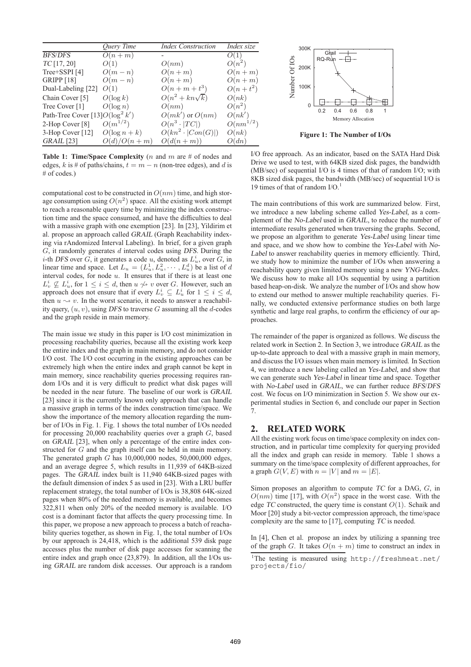|                                    | Ouery Time      | <b>Index Construction</b> | Index size    |
|------------------------------------|-----------------|---------------------------|---------------|
| <b>BFS/DFS</b>                     | $O(n+m)$        |                           | O(1)          |
| TC[17, 20]                         | O(1)            | O(nm)                     | $O(n^2)$      |
| Tree+SSPI [4]                      | $O(m-n)$        | $O(n+m)$                  | $O(n+m)$      |
| <b>GRIPP</b> [18]                  | $O(m-n)$        | $O(n+m)$                  | $O(n+m)$      |
| Dual-Labeling [22]                 | O(1)            | $O(n+m+t^3)$              | $O(n + t^2)$  |
| Chain Cover <sup>[5]</sup>         | $O(\log k)$     | $O(n^2 + kn\sqrt{k})$     | O(nk)         |
| Tree Cover <sup>[1]</sup>          | $O(\log n)$     | O(nm)                     | $O(n^2)$      |
| Path-Tree Cover $[13]O(\log^2 k')$ |                 | $O(mk')$ or $O(nm)$       | O(nk')        |
| 2-Hop Cover [8]                    | $O(m^{1/2})$    | $O(n^3 \cdot  TC )$       | $O(nm^{1/2})$ |
| 3-Hop Cover [12]                   | $O(\log n + k)$ | $O(kn^2 \cdot  Con(G) )$  | O(nk)         |
| <b>GRAIL</b> [23]                  | $O(d)/O(n+m)$   | $O(d(n+m))$               | O(dn)         |
|                                    |                 |                           |               |

**Table 1: Time/Space Complexity** (*n* and *m* are # of nodes and edges, k is # of paths/chains,  $t = m - n$  (non-tree edges), and d is # of codes.)

computational cost to be constructed in  $O(nm)$  time, and high storage consumption using  $O(n^2)$  space. All the existing work attempt to reach a reasonable query time by minimizing the index construction time and the space consumed, and have the difficulties to deal with a massive graph with one exemption [23]. In [23], Yildirim et al. propose an approach called GRAIL (Graph Reachability indexing via rAndomized Interval Labeling). In brief, for a given graph  $G$ , it randomly generates  $d$  interval codes using DFS. During the *i*-th DFS over G, it generates a code u, denoted as  $L_u^i$ , over G, in linear time and space. Let  $L_u = (L_u^1, L_u^2, \dots, L_u^d)$  be a list of d<br>interval codes for node u. It ensures that if there is at least one interval codes, for node u. It ensures that if there is at least one  $L_v^i \nsubseteq L_u^i$ , for  $1 \le i \le d$ , then  $u \nleftrightarrow v$  over G. However, such an anaroge does not ensure that if every  $L^i \nsubseteq L^i$  for  $1 \le i \le d$ approach does not ensure that if every  $L^i_v \subseteq L^i_u$  for  $1 \le i \le d$ ,<br>then  $u \to v$ . In the worst scenario, it needs to answer a reachabilthen  $u \sim v$ . In the worst scenario, it needs to answer a reachability query,  $(u, v)$ , using DFS to traverse G assuming all the d-codes and the graph reside in main memory.

The main issue we study in this paper is I/O cost minimization in processing reachability queries, because all the existing work keep the entire index and the graph in main memory, and do not consider I/O cost. The I/O cost occurring in the existing approaches can be extremely high when the entire index and graph cannot be kept in main memory, since reachability queries processing requires random I/Os and it is very difficult to predict what disk pages will be needed in the near future. The baseline of our work is GRAIL [23] since it is the currently known only approach that can handle a massive graph in terms of the index construction time/space. We show the importance of the memory allocation regarding the number of I/Os in Fig. 1. Fig. 1 shows the total number of I/Os needed for processing 20,000 reachability queries over a graph G, based on GRAIL [23], when only a percentage of the entire index constructed for G and the graph itself can be held in main memory. The generated graph  $G$  has  $10,000,000$  nodes,  $50,000,000$  edges, and an average degree 5, which results in 11,939 of 64KB-sized pages. The GRAIL index built is 11,940 64KB-sized pages with the default dimension of index 5 as used in [23]. With a LRU buffer replacement strategy, the total number of I/Os is 38,808 64K-sized pages when 80% of the needed memory is available, and becomes 322,811 when only 20% of the needed memory is available. I/O cost is a dominant factor that affects the query processing time. In this paper, we propose a new approach to process a batch of reachability queries together, as shown in Fig. 1, the total number of I/Os by our approach is 24,418, which is the additional 539 disk page accesses plus the number of disk page accesses for scanning the entire index and graph once (23,879). In addition, all the I/Os using GRAIL are random disk accesses. Our approach is a random



I/O free approach. As an indicator, based on the SATA Hard Disk Drive we used to test, with 64KB sized disk pages, the bandwidth (MB/sec) of sequential I/O is 4 times of that of random I/O; with 8KB sized disk pages, the bandwidth (MB/sec) of sequential I/O is 19 times of that of random  $I/O$ .<sup>1</sup>

The main contributions of this work are summarized below. First, we introduce a new labeling scheme called Yes-Label, as a complement of the No-Label used in GRAIL, to reduce the number of intermediate results generated when traversing the graphs. Second, we propose an algorithm to generate Yes-Label using linear time and space, and we show how to combine the Yes-Label with No-Label to answer reachability queries in memory efficiently. Third, we study how to minimize the number of I/Os when answering a reachability query given limited memory using a new YNG-Index. We discuss how to make all I/Os sequential by using a partition based heap-on-disk. We analyze the number of I/Os and show how to extend our method to answer multiple reachability queries. Finally, we conducted extensive performance studies on both large synthetic and large real graphs, to confirm the efficiency of our approaches.

The remainder of the paper is organized as follows. We discuss the related work in Section 2. In Section 3, we introduce GRAIL as the up-to-date approach to deal with a massive graph in main memory, and discuss the I/O issues when main memory is limited. In Section 4, we introduce a new labeling called an Yes-Label, and show that we can generate such Yes-Label in linear time and space. Together with No-Label used in GRAIL, we can further reduce BFS/DFS cost. We focus on I/O minimization in Section 5. We show our experimental studies in Section 6, and conclude our paper in Section 7.

# **2. RELATED WORK**

All the existing work focus on time/space complexity on index construction, and in particular time complexity for querying provided all the index and graph can reside in memory. Table 1 shows a summary on the time/space complexity of different approaches, for a graph  $G(V, E)$  with  $n = |V|$  and  $m = |E|$ .

Simon proposes an algorithm to compute TC for a DAG, G, in  $O(nm)$  time [17], with  $O(n^2)$  space in the worst case. With the edge  $TC$  constructed, the query time is constant  $O(1)$ . Schaik and Moor [20] study a bit-vector compression approach, the time/space complexity are the same to [17], computing TC is needed.

In [4], Chen et al. propose an index by utilizing a spanning tree of the graph G. It takes  $O(n + m)$  time to construct an index in

<sup>&</sup>lt;sup>1</sup>The testing is measured using http://freshmeat.net/ projects/fio/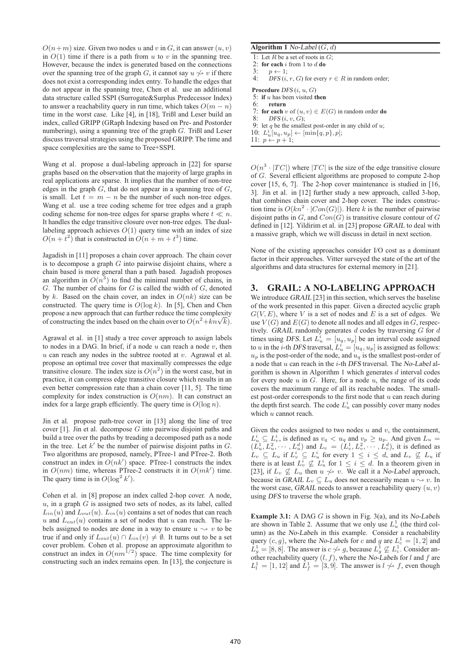$O(n+m)$  size. Given two nodes u and v in G, it can answer  $(u, v)$ in  $O(1)$  time if there is a path from u to v in the spanning tree. However, because the index is generated based on the connections over the spanning tree of the graph G, it cannot say  $u \nightharpoonup v$  if there does not exist a corresponding index entry. To handle the edges that do not appear in the spanning tree, Chen et al. use an additional data structure called SSPI (Surrogate&Surplus Predecessor Index) to answer a reachability query in run time, which takes  $O(m - n)$ time in the worst case. Like [4], in [18], Trißl and Leser build an index, called GRIPP (GRaph Indexing based on Pre- and Postorder numbering), using a spanning tree of the graph G. Trißl and Leser discuss traversal strategies using the proposed GRIPP. The time and space complexities are the same to Tree+SSPI.

Wang et al. propose a dual-labeling approach in [22] for sparse graphs based on the observation that the majority of large graphs in real applications are sparse. It implies that the number of non-tree edges in the graph  $G$ , that do not appear in a spanning tree of  $G$ , is small. Let  $t = m - n$  be the number of such non-tree edges. Wang et al. use a tree coding scheme for tree edges and a graph coding scheme for non-tree edges for sparse graphs where  $t \ll n$ . It handles the edge transitive closure over non-tree edges. The duallabeling approach achieves  $O(1)$  query time with an index of size  $O(n + t^2)$  that is constructed in  $O(n + m + t^3)$  time.

Jagadish in [11] proposes a chain cover approach. The chain cover is to decompose a graph  $G$  into pairwise disjoint chains, where a chain based is more general than a path based. Jagadish proposes an algorithm in  $O(n^3)$  to find the minimal number of chains, in  $G$ . The number of chains for  $G$  is called the width of  $G$ , denoted by k. Based on the chain cover, an index in  $O(nk)$  size can be constructed. The query time is  $O(\log k)$ . In [5], Chen and Chen propose a new approach that can further reduce the time complexity of constructing the index based on the chain over to  $O(n^2 + kn\sqrt{k})$ .

Agrawal et al. in [1] study a tree cover approach to assign labels to nodes in a DAG. In brief, if a node  $u$  can reach a node  $v$ , then  $u$  can reach any nodes in the subtree rooted at  $v$ . Agrawal et al. propose an optimal tree cover that maximally compresses the edge transitive closure. The index size is  $O(n^2)$  in the worst case, but in practice, it can compress edge transitive closure which results in an even better compression rate than a chain cover [11, 5]. The time complexity for index construction is  $O(nm)$ . It can construct an index for a large graph efficiently. The query time is  $O(\log n)$ .

Jin et al. propose path-tree cover in [13] along the line of tree cover  $[1]$ . Jin et al. decompose  $G$  into pairwise disjoint paths and build a tree over the paths by treading a decomposed path as a node in the tree. Let  $k'$  be the number of pairwise disjoint paths in  $G$ . Two algorithms are proposed, namely, PTree-1 and PTree-2. Both construct an index in  $O(nk')$  space. PTree-1 constructs the index<br>in  $O(nm)$  time, whereas PTree-2 constructs it in  $O(mk')$  time. in  $O(nm)$  time, whereas PTree-2 constructs it in  $O(mk')$  time.<br>The query time is in  $O(\log^2 k')$ The query time is in  $O(\log^2 k')$ .

Cohen et al. in [8] propose an index called 2-hop cover. A node,  $u$ , in a graph  $G$  is assigned two sets of nodes, as its label, called  $L_{in}(u)$  and  $L_{out}(u)$ .  $L_{in}(u)$  contains a set of nodes that can reach u and  $L_{out}(u)$  contains a set of nodes that u can reach. The labels assigned to nodes are done in a way to ensure  $u \sim v$  to be true if and only if  $L_{out}(u) \cap L_{in}(v) \neq \emptyset$ . It turns out to be a set cover problem. Cohen et al. propose an approximate algorithm to cover problem. Cohen et al. propose an approximate algorithm to construct an index in  $O(nm^{1/2})$  space. The time complexity for constructing such an index remains open. In [13], the conjecture is

## **Algorithm 1** No-Label (G, d)

1: Let  $R$  be a set of roots in  $G$ ;

2: **for each** i from 1 to d **do**<br>3:  $p \leftarrow 1$ ;

3:  $p \leftarrow 1$ ;<br>4: DFS (*i*,

DFS  $(i, r, G)$  for every  $r \in R$  in random order;

**Procedure** DFS (i, u, G)

5: **if** u has been visited **then**<br>6: **return** 

6: **return**

7: **for each** v of  $(u, v) \in E(G)$  in random order **do**<br>8: *DES*  $(i, v, G)$ :

DFS  $(i, v, G)$ ; 9: let  $q$  be the smallest post-order in any child of  $u$ ;

10:  $L_u^i[u_q, u_p] \leftarrow [\min\{q, p\}, p];$ 

11:  $p \leftarrow p + 1$ ;

 $O(n^3 \cdot |TC|)$  where  $|TC|$  is the size of the edge transitive closure of G. Several efficient algorithms are proposed to compute 2-hop cover [15, 6, 7]. The 2-hop cover maintenance is studied in [16, 3]. Jin et al. in [12] further study a new approach, called 3-hop, that combines chain cover and 2-hop cover. The index construction time is  $O(kn^2 \cdot |Con(G)|)$ . Here k is the number of pairwise disjoint paths in  $G$ , and  $Con(G)$  is transitive closure contour of  $G$ defined in [12]. Yildirim et al. in [23] propose GRAIL to deal with a massive graph, which we will discuss in detail in next section.

None of the existing approaches consider I/O cost as a dominant factor in their approaches. Vitter surveyed the state of the art of the algorithms and data structures for external memory in [21].

## **3. GRAIL: A NO-LABELING APPROACH**

We introduce GRAIL [23] in this section, which serves the baseline of the work presented in this paper. Given a directed acyclic graph  $G(V, E)$ , where V is a set of nodes and E is a set of edges. We use  $V(G)$  and  $E(G)$  to denote all nodes and all edges in G, respectively. GRAIL randomly generates  $d$  codes by traversing  $G$  for  $d$ times using DFS. Let  $L_u^i = [u_q, u_p]$  be an interval code assigned<br>to u in the i-th DFS traversal  $L^i = [u, u]$  is assigned as follows: to u in the *i*-th DFS traversal,  $L_u^i = [u_q, u_p]$  is assigned as follows:<br>u is the post-order of the node, and u is the smallest post-order of  $u_p$  is the post-order of the node, and  $u_q$  is the smallest post-order of a node that  $u$  can reach in the  $i$ -th DFS traversal. The No-Label algorithm is shown in Algorithm 1 which generates  $d$  interval codes for every node  $u$  in  $G$ . Here, for a node  $u$ , the range of its code covers the maximum range of all its reachable nodes. The smallest post-order corresponds to the first node that  $u$  can reach during the depth first search. The code  $L_u^i$  can possibly cover many nodes which u cannot reach.

Given the codes assigned to two nodes  $u$  and  $v$ , the containment,  $L_u^i \subseteq L_v^i$ , is defined as  $v_q < u_q$  and  $v_p \ge u_p$ . And given  $L_u = (L_1^1, L_2^2, \ldots, L_d^d)$  it is defined as  $(L_u^1, L_u^2, \dots, L_u^d)$  and  $L_v = (L_v^1, L_v^2, \dots, L_v^d)$ , it is defined as<br>  $L \subset L$  if  $L^i \subset L^i$  for every  $1 \le i \le d$  and  $L \subset L$  if  $L_v \subseteq L_u$  if  $L_v^i \subseteq L_u^i$  for every  $1 \leq i \leq d$ , and  $L_v \not\subseteq L_u$  if there is at least  $L^i \subset L^i$  for  $1 \leq i \leq d$  In a theorem given in there is at least  $L_v^i \nsubseteq L_u^i$  for  $1 \le i \le d$ . In a theorem given in [231 if  $L \nsubseteq L$ , then  $u \nleq x$ , We call it a No-Label approach [23], if  $L_v \nsubseteq L_u$  then  $u \nrightarrow v$ . We call it a No-Label approach, because in GRAIL  $L_v \subseteq L_u$  does not necessarily mean  $u \leadsto v$ . In the worst case, GRAIL needs to answer a reachability query  $(u, v)$ using DFS to traverse the whole graph.

**Example 3.1:** A DAG G is shown in Fig. 3(a), and its No-Labels are shown in Table 2. Assume that we only use  $L<sup>1</sup><sub>u</sub>$  (the third column) as the No-Labels in this example. Consider a reachability query  $(c, g)$ , where the No-Labels for c and g are  $L_c^1 = [1, 2]$  and  $L^1 = [8, 8]$ . The answer is  $c \rightsquigarrow a$ , because  $L^1 \not\subset L^1$ . Consider and  $L_g^1 = [8, 8]$ . The answer is  $c \nsim g$ , because  $L_g^1 \nsubseteq L_c^1$ . Consider an-<br>other reachability query (1-f) where the No-Labels for Land f are other reachability query  $(l, f)$ , where the No-Labels for l and f are  $L_l^1 = [1, 12]$  and  $L_f^1 = [3, 9]$ . The answer is  $l \nleftrightarrow f$ , even though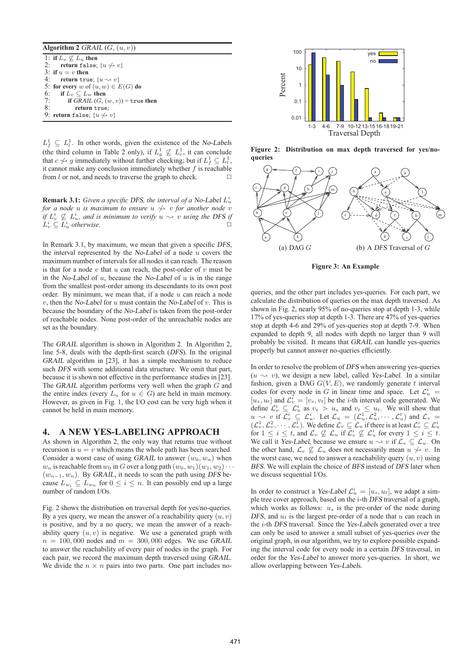## **Algorithm 2** GRAIL  $(G, (u, v))$

1: **if**  $L_v \nsubseteq L_u$  **then**<br>2: **return** false: return false;  $\{u \not\leadsto v\}$ 3: **if**  $u = v$  **then**<br>4: **return**  $+vu$ **return** true;  $\{u \leadsto v\}$ 5: **for every** w of  $(u, w) \in E(G)$  **do**<br>6: **if**  $L_v \subset L_w$  **then** 6: **if**  $L_v \subseteq L_w$  **then**<br>7: **if** GRAIL (G)  $\overline{\textbf{if}}$   $\overline{GRAIL}$   $(G, (w, v))$  = true then 8: **return** true; 9: **return** false;  $\{u \not\rightsquigarrow v\}$ 

 $L_f^1 \subseteq L_l^1$ . In other words, given the existence of the No-Labels (the third column in Table 2 only), if  $L_g^1 \nsubseteq L_c^1$ , it can conclude that  $c \nightharpoonup g$  immediately without further checking; but if  $L_f^1 \subseteq L_i^1$ , it cannot make any conclusion immediately whether  $f$  is reachable from *l* or not, and needs to traverse the graph to check.  $\Box$ 

**Remark 3.1:** *Given a specific DFS, the interval of a No-Label*  $L_u^i$ *for a node u is maximum to ensure*  $u \nleftrightarrow v$  *for another node v if*  $L_v^i \nsubseteq L_u^i$ , and is minimum to verify  $u \sim v$  using the DFS if  $L_v^i \subseteq L_u^i$  otherwise.

In Remark 3.1, by maximum, we mean that given a specific DFS, the interval represented by the No-Label of a node  $u$  covers the maximum number of intervals for all nodes it can reach. The reason is that for a node  $v$  that  $u$  can reach, the post-order of  $v$  must be in the No-Label of  $u$ , because the No-Label of  $u$  is in the range from the smallest post-order among its descendants to its own post order. By minimum, we mean that, if a node  $u$  can reach a node v, then the No-Label for u must contain the No-Label of v. This is because the boundary of the No-Label is taken from the post-order of reachable nodes. None post-order of the unreachable nodes are set as the boundary.

The GRAIL algorithm is shown in Algorithm 2. In Algorithm 2, line 5-8, deals with the depth-first search (DFS). In the original GRAIL algorithm in [23], it has a simple mechanism to reduce such DFS with some additional data structure. We omit that part, because it is shown not effective in the performance studies in [23]. The GRAIL algorithm performs very well when the graph G and the entire index (every  $L_u$  for  $u \in G$ ) are held in main memory. However, as given in Fig. 1, the I/O cost can be very high when it cannot be held in main memory.

## **4. A NEW YES-LABELING APPROACH**

As shown in Algorithm 2, the only way that returns true without recursion is  $u = v$  which means the whole path has been searched. Consider a worst case of using GRAIL to answer  $(w_0, w_n)$  when  $w_n$  is reachable from  $w_0$  in G over a long path  $(w_0, w_1)(w_1, w_2)\cdots$  $(w_{n-1}, w_n)$ . By GRAIL, it needs to scan the path using DFS because  $L_{w_i} \subseteq L_{w_n}$  for  $0 \leq i \leq n$ . It can possibly end up a large number of random I/Os.

Fig. 2 shows the distribution on traversal depth for yes/no-queries. By a yes query, we mean the answer of a reachability query  $(u, v)$ is positive, and by a no query, we mean the answer of a reachability query  $(u, v)$  is negative. We use a generated graph with  $n = 100,000$  nodes and  $m = 300,000$  edges. We use GRAIL to answer the reachability of every pair of nodes in the graph. For each pair, we record the maximum depth traversed using GRAIL. We divide the  $n \times n$  pairs into two parts. One part includes no-







**Figure 3: An Example**

queries, and the other part includes yes-queries. For each part, we calculate the distribution of queries on the max depth traversed. As shown in Fig. 2, nearly 95% of no-queries stop at depth 1-3, while 17% of yes-queries stop at depth 1-3. There are 47% of yes-queries stop at depth 4-6 and 29% of yes-queries stop at depth 7-9. When expanded to depth 9, all nodes with depth no larger than 9 will probably be visited. It means that GRAIL can handle yes-queries properly but cannot answer no-queries efficiently.

In order to resolve the problem of DFS when answering yes-queries  $(u \leadsto v)$ , we design a new label, called Yes-Label. In a similar fashion, given a DAG  $G(V, E)$ , we randomly generate t interval codes for every node in G in linear time and space. Let  $\mathcal{L}_u^i$  =  $[u_s, u_t]$  and  $\mathcal{L}^i_v = [v_s, v_t]$  be the *i*-th interval code generated. We  $[u_s, u_t]$  and  $\mathcal{L}^i_v = [v_s, v_t]$  be the *i*-th interval code generated. We define  $\mathcal{L}^i_v \subseteq \mathcal{L}^i_u$  as  $v_s > u_s$  and  $v_t \leq u_t$ . We will show that  $u \rightsquigarrow v$  if  $\mathcal{L}_v^i \subseteq \mathcal{L}_u^i$ . Let  $\mathcal{L}_u = (\mathcal{L}_u^1, \mathcal{L}_u^2, \cdots, \mathcal{L}_u^t)$  and  $\mathcal{L}_v = (\mathcal{L}_u^1, \mathcal{L}_u^2, \cdots, \mathcal{L}_u^t)$  where  $\mathcal{L}_v$  is there is at least  $\mathcal{L}_v^i \subseteq \mathcal{L}_u^i$  $(\mathcal{L}_v^1, \mathcal{L}_v^2, \cdots, \mathcal{L}_v^t)$ . We define  $\mathcal{L}_v \subseteq \mathcal{L}_u$  if there is at least  $\mathcal{L}_v^i \subseteq \mathcal{L}_u^i$  for  $1 \leq i \leq t$ , and  $\mathcal{L}_v \not\subseteq \mathcal{L}_u$  if  $\mathcal{L}_v^i \not\subseteq \mathcal{L}_u^i$  for every  $1 \leq i \leq t$ . We call it  $\mathcal{V$ We call it Yes-Label, because we ensure  $u \rightsquigarrow v$  if  $\mathcal{L}_v \subseteq \mathcal{L}_u$ . On the other hand,  $\mathcal{L}_v \not\subseteq \mathcal{L}_u$  does not necessarily mean  $u \nleftrightarrow v$ . In the worst case, we need to answer a reachability query  $(u, v)$  using BFS. We will explain the choice of BFS instead of DFS later when we discuss sequential I/Os.

In order to construct a Yes-Label  $\mathcal{L}_u^i = [u_s, u_t]$ , we adapt a sim-<br>ple tree cover approach based on the *i*-th DES traversal of a graph ple tree cover approach, based on the  $i$ -th DFS traversal of a graph, which works as follows:  $u_s$  is the pre-order of the node during DFS, and  $u_t$  is the largest pre-order of a node that u can reach in the i-th DFS traversal. Since the Yes-Labels generated over a tree can only be used to answer a small subset of yes-queries over the original graph, in our algorithm, we try to explore possible expanding the interval code for every node in a certain DFS traversal, in order for the Yes-Label to answer more yes-queries. In short, we allow overlapping between Yes-Labels.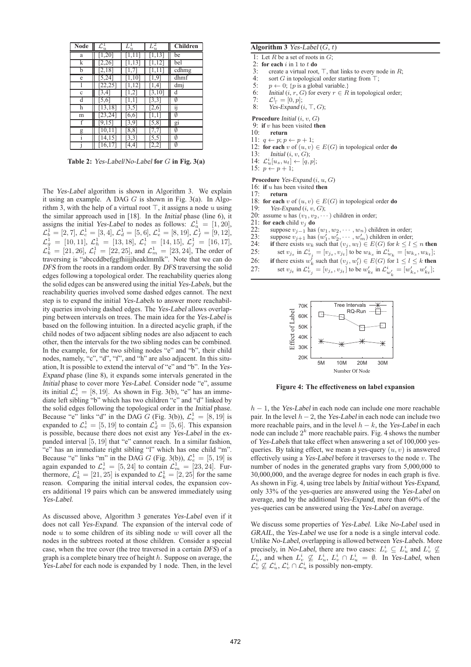| Node        | $\mathcal{L}_{\underline{u}}^{\scriptscriptstyle{\perp}}$ | $L_u^1$ | $L^2_u$ | <b>Children</b> |
|-------------|-----------------------------------------------------------|---------|---------|-----------------|
| a           | [1,20]                                                    |         |         | be              |
| k           | [2, 26]                                                   |         |         | bel             |
| b           | [2,18]                                                    |         |         | cdhmg           |
| e           | [5,24]                                                    | 1,10    | 1,9     | dhmf            |
|             | [22, 25]                                                  | 1,12    | [1,4]   | dmj             |
| $\mathbf c$ | [3,4]                                                     | $1,2$ ] | [3, 10] | d               |
| d           | [5,6]                                                     | 1,11    | [3,3]   | Ø               |
| h           | [13, 18]                                                  | [3,5]   | [2,6]   | ij              |
| m           | [23, 24]                                                  | [6,6]   | 1,1     | Ø               |
| f           | [9, 15]                                                   | [3,9]   | [5,8]   | gi              |
| g           | [10, 11]                                                  | [8,8]   |         | Ø               |
| i           | [14, 15]                                                  | [3,3]   | [5,5]   | Ø               |
|             | [16, 17]                                                  | 4,4]    | [2,2]   | Ø               |

**Table 2:** Yes-Label**/**No-Label **for** G **in Fig. 3(a)**

The Yes-Label algorithm is shown in Algorithm 3. We explain it using an example. A DAG  $G$  is shown in Fig. 3(a). In Algorithm 3, with the help of a virtual root  $\top$ , it assigns a node u using the similar approach used in [18]. In the Initial phase (line 6), it assigns the initial Yes-Label to nodes as follows:  $\mathcal{L}_a^1 = [1, 20]$ , assigns the initial Yes-Label to nodes as follows:  $\mathcal{L}_a^1 = [1, 20]$ ,<br>  $\mathcal{L}_b^1 = [2, 7]$ ,  $\mathcal{L}_c^1 = [3, 4]$ ,  $\mathcal{L}_d^1 = [5, 6]$ ,  $\mathcal{L}_e^1 = [8, 19]$ ,  $\mathcal{L}_f^1 = [9, 12]$ ,<br>  $\mathcal{L}_g^1 = [10, 11]$ ,  $\mathcal{L}_h^1 = [13, 18]$ , DFS from the roots in a random order. By DFS traversing the solid edges following a topological order. The reachability queries along the solid edges can be answered using the initial Yes-Labels, but the reachability queries involved some dashed edges cannot. The next step is to expand the initial Yes-Labels to answer more reachability queries involving dashed edges. The Yes-Label allows overlapping between intervals on trees. The main idea for the Yes-Label is based on the following intuition. In a directed acyclic graph, if the child nodes of two adjacent sibling nodes are also adjacent to each other, then the intervals for the two sibling nodes can be combined. In the example, for the two sibling nodes "e" and "b", their child nodes, namely, "c", "d", "f", and "h" are also adjacent. In this situation, It is possible to extend the interval of "e" and "b". In the Yes-Expand phase (line 8), it expands some intervals generated in the Initial phase to cover more Yes-Label. Consider node "e", assume its initial  $\mathcal{L}_e^1 = [8, 19]$ . As shown in Fig. 3(b), "e" has an imme-<br>diate left sibling "b" which has two children "c" and "d" linked by diate left sibling "b" which has two children "c" and "d" linked by the solid edges following the topological order in the Initial phase. Because "e" links "d" in the DAG G (Fig. 3(b)),  $\mathcal{L}_e^1 = [8, 19]$  is expanded to  $\mathcal{L}_e^1 = [5, 19]$  to contain  $\mathcal{L}_e^1 = [5, 6]$ . This expansion expanded to  $\mathcal{L}_e^1 = [5, 19]$  to contain  $\mathcal{L}_d^1 = [5, 6]$ . This expansion<br>is possible, because there does not exist any Yes-Label in the exis possible, because there does not exist any Yes-Label in the expanded interval [5, 19] that "e" cannot reach. In a similar fashion, "e" has an immediate right sibling "l" which has one child "m". Because "e" links "m" in the DAG G (Fig. 3(b)),  $\mathcal{L}_e^1 = [5, 19]$  is Because "e" links "m" in the DAG G (Fig. 3(b)),  $\mathcal{L}_e^1 = [5, 19]$  is again expanded to  $\mathcal{L}_e^1 = [5, 24]$  to contain  $\mathcal{L}_m^1 = [23, 24]$ . Furthermore,  $\mathcal{L}_k^1 = [21, 25]$  is expanded to  $\mathcal{L}_k^1 = [2, 25]$  for the sa reason. Comparing the initial interval codes, the expansion covers additional 19 pairs which can be answered immediately using Yes-Label.

As discussed above, Algorithm 3 generates Yes-Label even if it does not call Yes-Expand. The expansion of the interval code of node  $u$  to some children of its sibling node  $w$  will cover all the nodes in the subtrees rooted at those children. Consider a special case, when the tree cover (the tree traversed in a certain DFS) of a graph is a complete binary tree of height  $h$ . Suppose on average, the Yes-Label for each node is expanded by 1 node. Then, in the level

## **Algorithm 3** Yes-Label  $(G, t)$

- 1: Let  $R$  be a set of roots in  $G$ ;
- 2: **for each** i in 1 to t **do**<br>3: create a virtual root
- 3: create a virtual root,  $\top$ , that links to every node in R;<br>4. sort G in topological order starting from  $\top$ :
	- sort G in topological order starting from  $\top$ ;
- 5:  $p \leftarrow 0$ ; {*p* is a global variable.}<br>6: Initial (*i*, *r*, *G*) for every  $r \in R$
- 6: Initial  $(i, r, G)$  for every  $r \in R$  in topological order;<br>7:  $\mathcal{L}^i_T = [0, p];$
- 7:  $\mathcal{L}_{\top}^{i} = [0, p];$
- 8: Yes-Expand  $(i, \top, G)$ ;
- **Procedure** Initial (i, v, G)
- 9: **if** v has been visited **then**<br>10: **return**
- 10: **return**<br>11:  $a \leftarrow n : n$
- 11:  $q \leftarrow p; p \leftarrow p + 1;$ <br>12: for each v of  $(u, v)$
- 12: **for each**  $v$  of  $(u, v) \in E(G)$  in topological order **do** 13: *Initial*  $(i, v, G)$ :
- Initial  $(i, v, G);$
- 14:  $\mathcal{L}_u^i[u_s, u_t] \leftarrow [q, p];$
- 15:  $p \leftarrow p + 1$ ;

**Procedure** Yes-Expand (i, u, G)

16: **if** u has been visited **then** 17: **return** 

- 17: **return**
- 18: **for each** v of  $(u, v) \in E(G)$  in topological order **do**<br>19: **Vec** Expand  $(i, v, C)$ :
- Yes-Expand  $(i, v, G)$ ; 20: assume u has  $(v_1, v_2, \dots)$  children in order;
- 
- 21: **for each** child  $v_j$  **do**<br>22: **suppose**  $v_{j+1}$  has
- 22: suppose  $v_{j-1}$  has  $(w_1, w_2, \dots, w_n)$  children in order;<br>23: suppose  $v_{j-1}$  has  $(w'_1, w'_2, \dots, w'_n)$  children in order;
- 23: suppose  $v_{j+1}$  has  $(w'_1, w'_2, \cdots, w'_m)$  children in order;
- 24: **if** there exists  $w_k$  such that  $(v_j, w_l) \in E(G)$  for  $k \le l \le n$  **then**<br>25: set  $v_i$ , in  $\mathcal{L}_{n_i}^i = [v_i, v_i]$  to be  $w_{k_s}$  in  $\mathcal{L}_{m_i}^i = [w_{k_s}, w_{k_t}]$ ; 25: set  $v_{j_s}$  in  $\mathcal{L}_{v_j}^i = [v_{j_s}, v_{j_t}]$  to be  $w_{k_s}$  in  $\mathcal{L}_{w_k}^i = [w_{k_s}, w_{k_t}]$ ;
- 
- 26: **if** there exists  $w_k^j$  such that  $(v_j, w_l') \in E(G)$  for  $1 \le l \le k$  **then**
- 27: set  $v_{j_t}$  in  $\mathcal{L}_{v_j}^i = [v_{j_s}, v_{j_t}]$  to be  $w'_{k_t}$  in  $\mathcal{L}_{w'_{k}}^i = [w'_{k_s}, w'_{k_t}]$ ;



**Figure 4: The effectiveness on label expansion**

 $h - 1$ , the Yes-Label in each node can include one more reachable pair. In the level  $h - 2$ , the Yes-Label in each node can include two pair. In the level  $h-2$ , the Yes-Label in each node can include two more reachable pairs, and in the level  $h - k$ , the Yes-Label in each node can include  $2^k$  more reachable pairs. Fig. 4 shows the number of Yes-Labels that take effect when answering a set of 100,000 yesqueries. By taking effect, we mean a yes-query  $(u, v)$  is answered effectively using a Yes-Label before it traverses to the node  $v$ . The number of nodes in the generated graphs vary from 5,000,000 to 30,000,000, and the average degree for nodes in each graph is five. As shown in Fig. 4, using tree labels by Initial without Yes-Expand, only 33% of the yes-queries are answered using the Yes-Label on average, and by the additional Yes-Expand, more than 60% of the yes-queries can be answered using the Yes-Label on average.

We discuss some properties of Yes-Label. Like No-Label used in GRAIL, the Yes-Label we use for a node is a single interval code. Unlike No-Label, overlapping is allowed between Yes-Labels. More precisely, in No-Label, there are two cases:  $L_v^i \subseteq L_u^i$  and  $L_v^i \nsubseteq$  $\overline{L}_{u}^{i}$ , and when  $\overline{L}_{v}^{i} \nsubseteq L_{u}^{i}$ ,  $\overline{L}_{v}^{i} \cap L_{u}^{i} = \emptyset$ . In Yes-Label, when  $\overline{C}_{v}^{i} \not\subset C_{v}^{i}$  of  $\overline{C}_{v}^{i}$  is possibly non-empty  $\mathcal{L}_{v}^{i} \not\subseteq \mathcal{L}_{u}^{i}, \mathcal{L}_{v}^{i} \cap \mathcal{L}_{u}^{i}$  is possibly non-empty.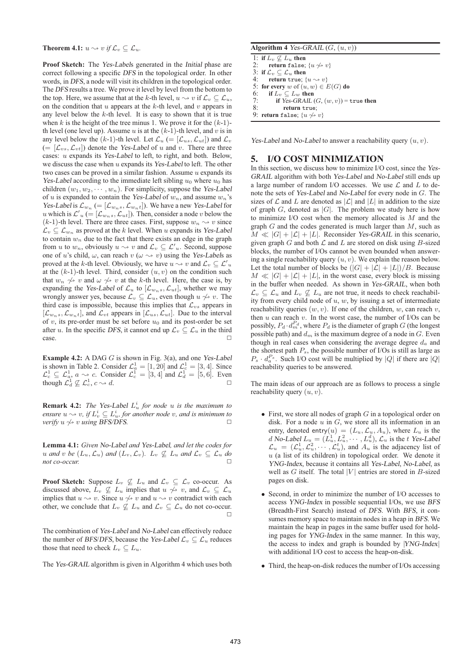**Theorem 4.1:**  $u \sim v$  *if*  $\mathcal{L}_v \subseteq \mathcal{L}_u$ .

**Proof Sketch:** The Yes-Labels generated in the Initial phase are correct following a specific DFS in the topological order. In other words, in DFS, a node will visit its children in the topological order. The DFS results a tree. We prove it level by level from the bottom to the top. Here, we assume that at the k-th level,  $u \sim v$  if  $\mathcal{L}_v \subseteq \mathcal{L}_u$ , on the condition that  $u$  appears at the  $k$ -th level, and  $v$  appears in any level below the  $k$ -th level. It is easy to shown that it is true when  $k$  is the height of the tree minus 1. We prove it for the  $(k-1)$ th level (one level up). Assume u is at the  $(k-1)$ -th level, and v is in any level below the  $(k-1)$ -th level. Let  $\mathcal{L}_u$  (=  $[\mathcal{L}_{us}, \mathcal{L}_{ut}]$ ) and  $\mathcal{L}_v$  $(=[\mathcal{L}_{vs}, \mathcal{L}_{vt}])$  denote the Yes-Label of u and v. There are three cases: u expands its Yes-Label to left, to right, and both. Below, we discuss the case when u expands its Yes-Label to left. The other two cases can be proved in a similar fashion. Assume  $u$  expands its Yes-Label according to the immediate left sibling  $u_0$  where  $u_0$  has children  $(w_1, w_2, \dots, w_n)$ . For simplicity, suppose the Yes-Label of u is expanded to contain the Yes-Label of  $w_n$ , and assume  $w_n$ 's Yes-Label is  $\mathcal{L}_{w_n} = [\mathcal{L}_{w_ns}, \mathcal{L}_{w_nt}]$ ). We have a new Yes-Label for u which is  $\mathcal{L}'_u$  (=  $[\mathcal{L}_{w_n s}, \mathcal{L}_{ut}]$ ). Then, consider a node v below the  $(k-1)$ -th level. There are three cases. First, suppose  $w \to w$  since  $(k-1)$ -th level. There are three cases. First, suppose  $w_n \rightarrow v$  since  $\mathcal{L}_v \subseteq \mathcal{L}_{w_n}$  as proved at the k level. When u expands its Yes-Label to contain  $w_n$  due to the fact that there exists an edge in the graph from u to  $w_n$ , obviously  $u \leadsto v$  and  $\mathcal{L}_v \subseteq \mathcal{L'}_u$ . Second, suppose one of u's child,  $\omega$ , can reach  $v$  ( $\omega \rightarrow v$ ) using the Yes-Labels as proved at the k-th level. Obviously, we have  $u \rightarrow v$  and  $\mathcal{L}_v \subseteq \mathcal{L}'_u$ at the  $(k-1)$ -th level. Third, consider  $(u, v)$  on the condition such that  $w_n \nightharpoonup v$  and  $\omega \nightharpoonup v$  at the k-th level. Here, the case is, by expanding the Yes-Label of  $\mathcal{L}_u$  to  $[\mathcal{L}_{w_n s}, \mathcal{L}_{ut}]$ , whether we may wrongly answer yes, because  $\mathcal{L}_v \subseteq \mathcal{L}_u$ , even though  $u \nrightarrow v$ . The third case is impossible, because this implies that  $\mathcal{L}_{vs}$  appears in  $[\mathcal{L}_{w_n s}, \mathcal{L}_{w_n t}]$ , and  $\mathcal{L}_{vt}$  appears in  $[\mathcal{L}_{us}, \mathcal{L}_{ut}]$ . Due to the interval of  $v$ , its pre-order must be set before  $u_0$  and its post-order be set after u. In the specific DFS, it cannot end up  $\mathcal{L}_v \subseteq \mathcal{L}_u$  in the third case.  $\case.$ 

**Example 4.2:** A DAG G is shown in Fig. 3(a), and one Yes-Label is shown in Table 2. Consider  $\mathcal{L}_{\alpha}^{1} = [1, 20]$  and  $\mathcal{L}_{\alpha}^{1} = [3, 4]$ . Since  $\mathcal{L}_{\alpha}^{1} \subseteq \mathcal{L}_{\alpha}^{1}$ ,  $a \leadsto c$ . Consider  $\mathcal{L}_{\alpha}^{1} = [3, 4]$  and  $\mathcal{L}_{\alpha}^{1} = [5, 6]$ . Even though  $\mathcal{L}_{\alpha}^{1} \not\subseteq \mathcal{L}_{\alpha}$ 

**Remark 4.2:** The Yes-Label  $L^i_u$  for node u is the maximum to *ensure*  $u \sim v$ , if  $L_v^i \subseteq L_u^i$ , for another node v, and is minimum to *verify*  $u \nleftrightarrow v$  *using* BFS/DFS.

**Lemma 4.1:** *Given* No-Label *and* Yes-Label*, and let the codes for*  $u$  *and*  $v$  *be*  $(L_u, \mathcal{L}_u)$  *and*  $(L_v, \mathcal{L}_v)$ *.*  $L_v \not\subseteq L_u$  *and*  $\mathcal{L}_v \subseteq \mathcal{L}_u$  *do not co-occur.*  $\square$ 

**Proof Sketch:** Suppose  $L_v \not\subseteq L_u$  and  $\mathcal{L}_v \subseteq \mathcal{L}_v$  co-occur. As discussed above,  $L_v \nsubseteq L_u$  implies that  $u \nleftrightarrow v$ , and  $\mathcal{L}_v \subseteq \mathcal{L}_u$ implies that  $u \leadsto v$ . Since  $u \not\leadsto v$  and  $u \leadsto v$  contradict with each other, we conclude that  $L_v \not\subseteq L_u$  and  $\mathcal{L}_v \subseteq \mathcal{L}_u$  do not co-occur.  $\Box$ 

The combination of Yes-Label and No-Label can effectively reduce the number of BFS/DFS, because the Yes-Label  $\mathcal{L}_v \subseteq \mathcal{L}_u$  reduces those that need to check  $L_v \subseteq L_u$ .

The Yes-GRAIL algorithm is given in Algorithm 4 which uses both

#### **Algorithm 4** Yes-GRAIL  $(G, (u, v))$

1: **if**  $L_v \nsubseteq L_u$  **then**<br>2: **return** false: return false;  $\{u \not\leadsto v\}$ 3: **if**  $\mathcal{L}_v \subseteq \mathcal{L}_u$  **then**<br>4. **return**  $\text{true}$ 4: **return** true;  $\{u \leadsto v\}$ <br>5: **for every** w of  $(u, w) \in \mathcal{V}$ 5: **for every** w of  $(u, w) \in E(G)$  **do**<br>6: **if**  $L_v \subseteq L_w$  **then** 6: **if**  $L_v \subseteq L_w$  **then**<br>7: **if** Yes-GRAIL if  $Y_{CS}$ -GRAIL  $(G, (w, v))$  = true then 8: **return** true; 9: **return** false;  $\{u \not\rightsquigarrow v\}$ 

Yes-Label and No-Label to answer a reachability query  $(u, v)$ .

# **5. I/O COST MINIMIZATION**

In this section, we discuss how to minimize I/O cost, since the Yes-GRAIL algorithm with both Yes-Label and No-Label still ends up a large number of random I/O accesses. We use  $\mathcal L$  and  $L$  to denote the sets of Yes-Label and No-Label for every node in G. The sizes of  $\mathcal L$  and  $L$  are denoted as  $|\mathcal L|$  and  $|L|$  in addition to the size of graph  $G$ , denoted as  $|G|$ . The problem we study here is how to minimize I/O cost when the memory allocated is  $M$  and the graph  $G$  and the codes generated is much larger than  $M$ , such as  $M \ll |G| + |\mathcal{L}| + |L|$ . Reconsider Yes-GRAIL in this scenario, given graph  $G$  and both  $\mathcal L$  and  $L$  are stored on disk using  $B$ -sized blocks, the number of I/Os cannot be even bounded when answering a single reachability query  $(u, v)$ . We explain the reason below. Let the total number of blocks be  $(|G| + |\mathcal{L}| + |L|)/B$ . Because  $M \ll |G| + |\mathcal{L}| + |L|$ , in the worst case, every block is missing in the buffer when needed. As shown in Yes-GRAIL, when both  $\mathcal{L}_v \subseteq \mathcal{L}_u$  and  $L_v \nsubseteq L_u$  are not true, it needs to check reachability from every child node of  $u, w$ , by issuing a set of intermediate reachability queries  $(w, v)$ . If one of the children, w, can reach v, then  $u$  can reach  $v$ . In the worst case, the number of I/Os can be possibly,  $P_d \cdot d_m^{P_d}$ , where  $P_d$  is the diameter of graph G (the longest possible path) and  $d_m$  is the maximum degree of a node in  $G$ . Even though in real cases when considering the average degree  $d_a$  and the shortest path  $P_s$ , the possible number of I/Os is still as large as  $P_s \cdot d_s^{P_s}$ . Such I/O cost will be multiplied by |Q| if there are |Q| reachability queries to be answered.

The main ideas of our approach are as follows to process a single reachability query  $(u, v)$ .

- First, we store all nodes of graph  $G$  in a topological order on disk. For a node  $u$  in  $G$ , we store all its information in an entry, denoted entry(u) =  $(L_u, \mathcal{L}_u, A_u)$ , where  $L_u$  is the d No-Label  $L_v = (L_1^1, L_2^2, \ldots, L_d^d)$   $\mathcal{L}_v$  is the t Ves-Label d No-Label  $L_u = (L_u^1, L_u^2, \dots, L_u^d), \mathcal{L}_u$  is the t Yes-Label  $\mathcal{C} = (\mathcal{C}^1, \mathcal{C}^2, \dots, \mathcal{C}^t)$  and A is the adjacency list of  $\mathcal{L}_u = (\mathcal{L}_u^1, \mathcal{L}_u^2, \cdots, \mathcal{L}_u^t)$ , and  $A_u$  is the adjacency list of  $u$  (a list of its children) in topological order. We denote it  $u$  (a list of its children) in topological order. We denote it YNG-Index, because it contains all Yes-Label, No-Label, as well as  $G$  itself. The total  $|V|$  entries are stored in  $B$ -sized pages on disk.
- Second, in order to minimize the number of I/O accesses to access YNG-Index in possible sequential I/Os, we use BFS (Breadth-First Search) instead of DFS. With BFS, it consumes memory space to maintain nodes in a heap in BFS. We maintain the heap in pages in the same buffer used for holding pages for YNG-Index in the same manner. In this way, the access to index and graph is bounded by |YNG-Index| with additional I/O cost to access the heap-on-disk.
- Third, the heap-on-disk reduces the number of I/Os accessing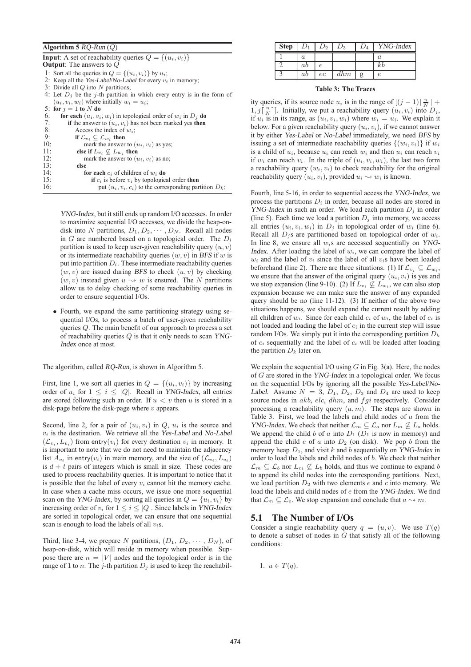## **Algorithm 5** RQ-Run (Q)

| <b>Input:</b> A set of reachability queries $Q = \{(u_i, v_i)\}\$<br><b>Output:</b> The answers to $Q$ |  |
|--------------------------------------------------------------------------------------------------------|--|
| 1: Sort all the queries in $Q = \{(u_i, v_i)\}\$ by $u_i$ ;                                            |  |
| 2: Keep all the Yes-Label/No-Label for every $v_i$ in memory;                                          |  |
| 3: Divide all $Q$ into $N$ partitions;                                                                 |  |
| 4: Let $D_i$ be the j-th partition in which every entry is in the form of                              |  |
| $(u_i, v_i, w_i)$ where initially $w_i = u_i$ ;                                                        |  |
| 5: for $i = 1$ to N do                                                                                 |  |
| 6:<br>for each $(u_i, v_i, w_i)$ in topological order of $w_i$ in $D_i$ do                             |  |
| 7:<br>if the answer to $(u_i, v_i)$ has not been marked yes then                                       |  |
| 8:<br>Access the index of $w_i$ ;                                                                      |  |
| 9:<br>if $\mathcal{L}_{v_i} \subseteq \mathcal{L}_{w_i}$ then                                          |  |
| 10:<br>mark the answer to $(u_i, v_i)$ as yes;                                                         |  |
| 11:<br>else if $L_{v_i} \not\subseteq L_{w_i}$ then                                                    |  |
| 12:<br>mark the answer to $(u_i, v_i)$ as no;                                                          |  |
| 13:<br>else                                                                                            |  |
| 14:<br>for each $c_i$ of children of $w_i$ do                                                          |  |
| 15:<br>if $c_i$ is before $v_i$ by topological order then                                              |  |
| 16:<br>put $(u_i, v_i, c_i)$ to the corresponding partition $D_k$ ;                                    |  |
|                                                                                                        |  |

YNG-Index, but it still ends up random I/O accesses. In order to maximize sequential I/O accesses, we divide the heap-ondisk into N partitions,  $D_1, D_2, \cdots, D_N$ . Recall all nodes in  $G$  are numbered based on a topological order. The  $D_i$ partition is used to keep user-given reachability query  $(u, v)$ or its intermediate reachability queries  $(w, v)$  in BFS if w is put into partition  $D_i$ . These intermediate reachability queries  $(w, v)$  are issued during BFS to check  $(u, v)$  by checking  $(w, v)$  instead given  $u \rightsquigarrow w$  is ensured. The N partitions allow us to delay checking of some reachability queries in order to ensure sequential I/Os.

• Fourth, we expand the same partitioning strategy using sequential I/Os, to process a batch of user-given reachability queries Q. The main benefit of our approach to process a set of reachability queries  $Q$  is that it only needs to scan YNG-Index once at most.

The algorithm, called RQ-Run, is shown in Algorithm 5.

First, line 1, we sort all queries in  $Q = \{(u_i, v_i)\}\$  by increasing order of  $u_i$  for  $1 \leq i \leq |Q|$ . Recall in YNG-Index, all entries are stored following such an order. If  $u < v$  then u is stored in a disk-page before the disk-page where  $v$  appears.

Second, line 2, for a pair of  $(u_i, v_i)$  in  $Q$ ,  $u_i$  is the source and  $v_i$  is the destination. We retrieve all the Yes-Label and No-Label  $(\mathcal{L}_{v_i}, L_{v_i})$  from entry $(v_i)$  for every destination  $v_i$  in memory. It is important to note that we do not need to maintain the adjacency list  $A_{v_i}$  in entry( $v_i$ ) in main memory, and the size of ( $\mathcal{L}_{v_i}, L_{v_i}$ ) is  $d + t$  pairs of integers which is small in size. These codes are used to process reachability queries. It is important to notice that it is possible that the label of every  $v_i$  cannot hit the memory cache. In case when a cache miss occurs, we issue one more sequential scan on the YNG-Index, by sorting all queries in  $Q = \{u_i, v_i\}$  by increasing order of  $v_i$  for  $1 \leq i \leq |Q|$ . Since labels in YNG-Index are sorted in topological order, we can ensure that one sequential scan is enough to load the labels of all  $v_i$ s.

Third, line 3-4, we prepare N partitions,  $(D_1, D_2, \cdots, D_N)$ , of heap-on-disk, which will reside in memory when possible. Suppose there are  $n = |V|$  nodes and the topological order is in the range of 1 to *n*. The *j*-th partition  $D_i$  is used to keep the reachabil-

| <b>Step</b> |    | $D_2$ |     | YNG-Index |
|-------------|----|-------|-----|-----------|
|             | а  |       |     | $\it a$   |
|             | ab |       |     | kb        |
|             | ab | ec    | dhm |           |

**Table 3: The Traces**

ity queries, if its source node  $u_i$  is in the range of  $[(j-1)\lceil \frac{n}{N} \rceil + 1 \cdot i\lceil \frac{n}{N} \rceil]$  Initially we put a reachability query  $(u_i, u_j)$  into  $D_i$ .  $1, j\lceil \frac{n}{N} \rceil$ . Initially, we put a reachability query  $(u_i, v_i)$  into  $D_j$ , if  $u_j$  is in its range, as  $(u_i, v_i, w_j)$  where  $w_j - u_j$ . We explain it if  $u_i$  is in its range, as  $(u_i, v_i, w_i)$  where  $w_i = u_i$ . We explain it below. For a given reachability query  $(u_i, v_i)$ , if we cannot answer it by either Yes-Label or No-Label immediately, we need BFS by issuing a set of intermediate reachability queries  $\{(w_i, v_i)\}\)$  if  $w_i$ is a child of  $u_i$ , because  $u_i$  can reach  $w_i$  and then  $u_i$  can reach  $v_i$ if  $w_i$  can reach  $v_i$ . In the triple of  $(u_i, v_i, w_i)$ , the last two form a reachability query  $(w_i, v_i)$  to check reachability for the original reachability query  $(u_i, v_i)$ , provided  $u_i \rightsquigarrow w_i$  is known.

Fourth, line 5-16, in order to sequential access the YNG-Index, we process the partitions  $D_i$  in order, because all nodes are stored in YNG-Index in such an order. We load each partition  $D_i$  in order (line 5). Each time we load a partition  $D_i$  into memory, we access all entries  $(u_i, v_i, w_i)$  in  $D_i$  in topological order of  $w_i$  (line 6). Recall all  $D_i$ s are partitioned based on topological order of  $w_i$ . In line 8, we ensure all  $w_i$ s are accessed sequentially on YNG-Index. After loading the label of  $w_i$ , we can compare the label of  $w_i$  and the label of  $v_i$  since the label of all  $v_i$ s have been loaded beforehand (line 2). There are three situations. (1) If  $\mathcal{L}_{v_i} \subseteq \mathcal{L}_{w_i}$ , we ensure that the answer of the original query  $(u_i, v_i)$  is yes and we stop expansion (line 9-10). (2) If  $L_{v_i} \not\subseteq L_{w_i}$ , we can also stop expansion because we can make sure the answer of any expanded query should be no (line 11-12). (3) If neither of the above two situations happens, we should expand the current result by adding all children of  $w_i$ . Since for each child  $c_i$  of  $w_i$ , the label of  $c_i$  is not loaded and loading the label of  $c_i$  in the current step will issue random I/Os. We simply put it into the corresponding partition  $D_k$ of  $c_i$  sequentially and the label of  $c_i$  will be loaded after loading the partition  $D_k$  later on.

We explain the sequential I/O using  $G$  in Fig. 3(a). Here, the nodes of G are stored in the YNG-Index in a topological order. We focus on the sequential I/Os by ignoring all the possible Yes-Label/No-Label. Assume  $N = 3$ ,  $D_1$ ,  $D_2$ ,  $D_3$  and  $D_4$  are used to keep source nodes in akb, elc, dhm, and fgi respectively. Consider processing a reachability query  $(a, m)$ . The steps are shown in Table 3. First, we load the labels and child nodes of a from the YNG-Index. We check that neither  $\mathcal{L}_m \subseteq \mathcal{L}_a$  nor  $L_m \not\subseteq L_a$  holds. We append the child b of a into  $D_1$  ( $D_1$  is now in memory) and append the child  $e$  of  $a$  into  $D_2$  (on disk). We pop  $b$  from the memory heap  $D_1$ , and visit k and b sequentially on YNG-Index in order to load the labels and child nodes of b. We check that neither  $\mathcal{L}_m \subseteq \mathcal{L}_b$  nor  $L_m \not\subseteq L_b$  holds, and thus we continue to expand b to append its child nodes into the corresponding partitions. Next, we load partition  $D_2$  with two elements  $e$  and  $c$  into memory. We load the labels and child nodes of e from the YNG-Index. We find that  $\mathcal{L}_m \subseteq \mathcal{L}_e$ . We stop expansion and conclude that  $a \rightsquigarrow m$ .

## **5.1 The Number of I/Os**

Consider a single reachability query  $q = (u, v)$ . We use  $T(q)$ to denote a subset of nodes in  $G$  that satisfy all of the following conditions:

1.  $u \in T(q)$ .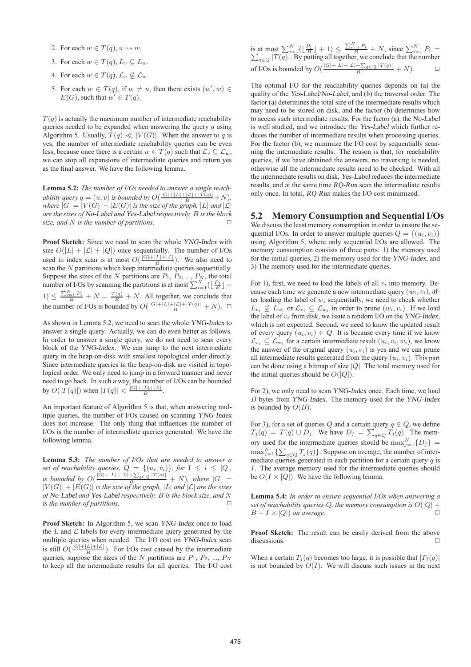- 2. For each  $w \in T(q)$ ,  $u \rightsquigarrow w$ .
- 3. For each  $w \in T(q)$ ,  $L_v \subseteq L_w$ .
- 4. For each  $w \in T(q)$ ,  $\mathcal{L}_v \not\subseteq \mathcal{L}_w$ .
- 5. For each  $w \in T(q)$ , if  $w \neq u$ , then there exists  $(w', w) \in$ <br> $E(G)$  such that  $w' \in T(q)$  $E(G)$ , such that  $w' \in T(q)$ .

 $T(q)$  is actually the maximum number of intermediate reachability queries needed to be expanded when answering the query  $q$  using Algorithm 5. Usually,  $T(q) \ll |V(G)|$ . When the answer to q is yes, the number of intermediate reachability queries can be even less, because once there is a certain  $w \in T(q)$  such that  $\mathcal{L}_v \subseteq \mathcal{L}_w$ , we can stop all expansions of intermediate queries and return yes as the final answer. We have the following lemma.

**Lemma 5.2:** *The number of I/Os needed to answer a single reachability query*  $q = (u, v)$  *is bounded by*  $O(\frac{|G| + |L| + |\mathcal{L}| + |T(q)|}{B} + N)$ ,<br>where  $|G| = |V(G)| + |E(G)|$  is the size of the graph | L| and | C| *where*  $|G| = |V(G)| + |E(G)|$  *is the size of the graph,*  $|L|$  *and*  $|\mathcal{L}|$ *are the sizes of* No-Label *and* Yes-Label *respectively,* B *is the block size, and* N *is the number of partitions.* 

**Proof Sketch:** Since we need to scan the whole YNG-Index with size  $O(|L| + |\mathcal{L}| + |Q|)$  once sequentially. The number of I/Os used in index scan is at most  $O(\frac{|G|+|L|+|C|}{B})$ . We also need to scan the N partitions which keep intermediate queries sequentially scan the N partitions which keep intermediate queries sequentially. Suppose the sizes of the N partitions are  $P_1$ ,  $P_2$ , ...,  $P_N$ , the total number of I/Os by scanning the partitions is at most  $\sum_{i=1}^{N} \left( \left[ \frac{P_1}{B} \right] \right)$  $\frac{1}{B}$  +  $1) \leq \frac{\sum_{i=1}^{N} P_i}{B} + N = \frac{T(q)}{B} + N$ . All together, we conclude that the number of I/Os is bounded by  $O(\frac{|G|+|L|+|C|+|T(q)|}{B}+N)$ .  $\Box$ 

As shown in Lemma 5.2, we need to scan the whole YNG-Index to answer a single query. Actually, we can do even better as follows. In order to answer a single query, we do not need to scan every block of the YNG-Index. We can jump to the next intermediate query in the heap-on-disk with smallest topological order directly. Since intermediate queries in the heap-on-disk are visited in topological order. We only need to jump in a forward manner and never need to go back. In such a way, the number of I/Os can be bounded by  $O(|T(q)|)$  when  $|T(q)| < \frac{|G| + |L| + |\mathcal{L}|}{B}$ .

An important feature of Algorithm 5 is that, when answering multiple queries, the number of I/Os caused on scanning YNG-Index does not increase. The only thing that influences the number of I/Os is the number of intermediate queries generated. We have the following lemma.

**Lemma 5.3:** *The number of I/Os that are needed to answer a set of reachability queries,*  $Q = \{(u_i, v_i)\}\$ , for  $1 \leq i \leq |Q|$ ,  $\ldots$   $\ldots$   $\ldots$   $\ldots$   $\ldots$   $\ldots$   $\ldots$   $\ldots$   $\ldots$   $\ldots$   $\ldots$   $\ldots$   $\ldots$   $\ldots$   $\ldots$   $\ldots$   $\ldots$   $\ldots$   $\ldots$   $\ldots$   $\ldots$   $\ldots$   $\ldots$   $\ldots$   $\ldots$   $\ldots$  *is bounded by*  $O(\frac{|G|+|L|+|C|+\sum_{q\in Q}|T(q)|}{B}+N)$ *, where*  $|G|=|V(G)|+|E(G)|$  *is the size of the graph*  $|L|$  *and*  $|C|$  *are the sizes*  $|V(G)| + |E(G)|$  *is the size of the graph,*  $|L|$  *and*  $|L|$  *are the sizes of* No-Label *and* Yes-Label *respectively,* B *is the block size, and* N *is the number of partitions.*  $\Box$ 

**Proof Sketch:** In Algorithm 5, we scan YNG-Index once to load the  $L$  and  $\mathcal L$  labels for every intermediate query generated by the multiple queries when needed. The I/O cost on YNG-Index scan is still  $O(\frac{|G|+|L|+|L|}{B})$ . For I/Os cost caused by the intermediate<br>queries, suppose the sizes of the N partitions are  $P_1$ ,  $P_2$ ,  $P_3$ queries, suppose the sizes of the N partitions are  $P_1$ ,  $P_2$ , ...,  $P_N$ to keep all the intermediate results for all queries. The I/O cost is at most  $\sum_{i=1}^{N} (\lfloor \frac{P_1}{B} \rfloor + 1) \leq \frac{\sum_{i=1}^{N} P_i}{B} + N$ , since  $\sum_{i=1}^{N} (I(G))$ . By putting all together we conclude that the is at most  $\sum_{i=1}^{N} (\lfloor \frac{P_1}{B} \rfloor + 1) \leq \frac{2i-1+i}{B} + N$ , since  $\sum_{i=1}^{N} P_i = \sum_{g \in O} |T(g)|$ . By putting all together, we conclude that the number  $_{q\in Q}$  |T(q)|. By putting all together, we conclude that the number of I/Os is bounded by  $O(\frac{|G|+|L|+|C|+\sum_{q\in Q}|T(q)|}{B}+N).$   $\Box$ 

The optimal I/O for the reachability queries depends on (a) the quality of the Yes-Label/No-Label, and (b) the traversal order. The factor (a) determines the total size of the intermediate results which may need to be stored on disk, and the factor (b) determines how to access such intermediate results. For the factor (a), the No-Label is well studied, and we introduce the Yes-Label which further reduces the number of intermediate results when processing queries. For the factor (b), we minimize the I/O cost by sequentially scanning the intermediate results. The reason is that, for reachability queries, if we have obtained the answers, no traversing is needed, otherwise all the intermediate results need to be checked. With all the intermediate results on disk, Yes-Label reduces the intermediate results, and at the same time RQ-Run scan the intermediate results only once. In total, RQ-Run makes the I/O cost minimized.

## **5.2 Memory Consumption and Sequential I/Os**

We discuss the least memory consumption in order to ensure the sequential I/Os. In order to answer multiple queries  $Q = \{(u_i, v_i)\}\$ using Algorithm 5, where only sequential I/Os are allowed. The memory consumption consists of three parts: 1) the memory used for the initial queries, 2) the memory used for the YNG-Index, and 3) The memory used for the intermediate queries.

For 1), first, we need to load the labels of all  $v_i$  into memory. Because each time we generate a new intermediate query  $(w_i, v_i)$ , after loading the label of  $w_i$  sequentially, we need to check whether  $L_{v_i} \nsubseteq L_{w_i}$  or  $\mathcal{L}_{v_i} \subseteq \mathcal{L}_{w_i}$  in order to prune  $(w_i, v_i)$ . If we load the label of  $v_i$  from disk, we issue a random  $U$ O on the *VNG-Index* the label of  $v_i$  from disk, we issue a random I/O on the YNG-Index, which is not expected. Second, we need to know the updated result of every query  $(u_i, v_i) \in Q$ . It is because every time if we know  $\mathcal{L}_{v_i} \subseteq \mathcal{L}_{w_i}$  for a certain intermediate result  $(u_i, v_i, w_i)$ , we know the answer of the original query  $(u_i, v_i)$  is yes and we can prune all intermediate results generated from the query  $(u_i, v_i)$ . This part can be done using a bitmap of size  $|Q|$ . The total memory used for the initial queries should be  $O(|Q|)$ .

For 2), we only need to scan YNG-Index once. Each time, we load B bytes from YNG-Index. The memory used for the YNG-Index is bounded by  $O(B)$ .

For 3), for a set of queries Q and a certain query  $q \in Q$ , we define  $T_j(q) = T(q) \cup D_j$ . We have  $D_j = \sum_{q \in Q} T_j(q)$ . The mem-<br>contained for the intermediate entries should be used. ory used for the intermediate queries should be  $\max_{j=1}^{N} \{D_j\} =$  $\max_{j=1}^{N} \{ \sum_{q \in Q} T_j(q) \}$ . Suppose on average, the number of inter-<br>mediate queries generated in each partition for a certain query q is mediate queries generated in each partition for a certain query  $q$  is I. The average memory used for the intermediate queries should be  $O(I \times |Q|)$ . We have the following lemma.

**Lemma 5.4:** *In order to ensure sequential I/Os when answering a set of reachability queries*  $Q$ *, the memory consumption is*  $O(|Q| + B + I \times |O|)$  on average  $B + I \times |Q|$  *on average.* 

**Proof Sketch:** The result can be easily derived from the above discussions.

When a certain  $T_i(q)$  becomes too large, it is possible that  $|T_i(q)|$ is not bounded by  $O(I)$ . We will discuss such issues in the next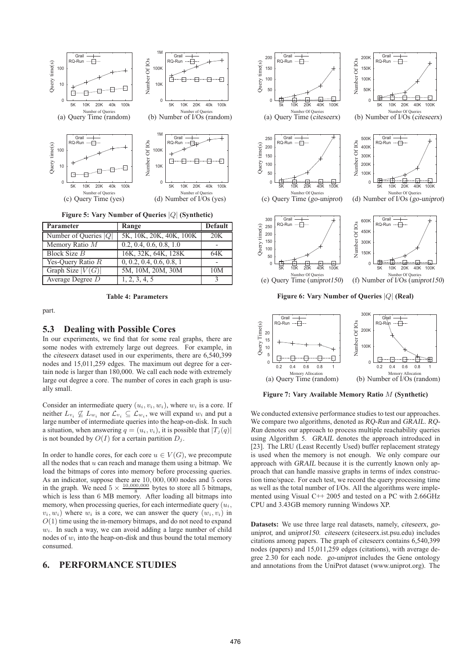

**Figure 5: Vary Number of Queries** |Q| **(Synthetic)**

| Parameter               | Range                    | <b>Default</b>  |
|-------------------------|--------------------------|-----------------|
| Number of Queries $ Q $ | 5K, 10K, 20K, 40K, 100K  | 20 <sub>K</sub> |
| Memory Ratio $M$        | 0.2, 0.4, 0.6, 0.8, 1.0  |                 |
| Block Size B            | 16K, 32K, 64K, 128K      | 64K             |
| Yes-Query Ratio $R$     | 0, 0.2, 0.4, 0.6, 0.8, 1 |                 |
| Graph Size $ V(G) $     | 5M, 10M, 20M, 30M        | 10M             |
| Average Degree $D$      | 1, 2, 3, 4, 5            |                 |

**Table 4: Parameters**

part.

## **5.3 Dealing with Possible Cores**

In our experiments, we find that for some real graphs, there are some nodes with extremely large out degrees. For example, in the citeseerx dataset used in our experiments, there are 6,540,399 nodes and 15,011,259 edges. The maximum out degree for a certain node is larger than 180,000. We call each node with extremely large out degree a core. The number of cores in each graph is usually small.

Consider an intermediate query  $(u_i, v_i, w_i)$ , where  $w_i$  is a core. If neither  $L_{v_i} \nsubseteq L_{w_i}$  nor  $\mathcal{L}_{v_i} \subseteq \mathcal{L}_{w_i}$ , we will expand  $w_i$  and put a large number of intermediate queries into the heap-on-disk. In such a situation, when answering  $q = (u_i, v_i)$ , it is possible that  $|T_i(q)|$ is not bounded by  $O(I)$  for a certain partition  $D_i$ .

In order to handle cores, for each core  $u \in V(G)$ , we precompute all the nodes that  $u$  can reach and manage them using a bitmap. We load the bitmaps of cores into memory before processing queries. As an indicator, suppose there are 10, 000, 000 nodes and 5 cores in the graph. We need  $5 \times \frac{10,000,000}{8}$  bytes to store all 5 bitmaps, which is less than 6 MB memory. After loading all bitmaps into which is less than 6 MB memory. After loading all bitmaps into memory, when processing queries, for each intermediate query  $(u_i,$  $v_i, w_i$ ) where  $w_i$  is a core, we can answer the query  $(w_i, v_i)$  in  $O(1)$  time using the in-memory bitmaps, and do not need to expand  $w<sub>i</sub>$ . In such a way, we can avoid adding a large number of child nodes of  $w_i$  into the heap-on-disk and thus bound the total memory consumed.

# **6. PERFORMANCE STUDIES**





**Figure 7: Vary Available Memory Ratio** M **(Synthetic)**

We conducted extensive performance studies to test our approaches. We compare two algorithms, denoted as RQ-Run and GRAIL. RQ-Run denotes our approach to process multiple reachability queries using Algorithm 5. GRAIL denotes the approach introduced in [23]. The LRU (Least Recently Used) buffer replacement strategy is used when the memory is not enough. We only compare our approach with GRAIL because it is the currently known only approach that can handle massive graphs in terms of index construction time/space. For each test, we record the query processing time as well as the total number of I/Os. All the algorithms were implemented using Visual C++ 2005 and tested on a PC with 2.66GHz CPU and 3.43GB memory running Windows XP.

**Datasets:** We use three large real datasets, namely, citeseerx, gouniprot, and uniprot150. citeseerx (citeseerx.ist.psu.edu) includes citations among papers. The graph of citeseerx contains 6,540,399 nodes (papers) and 15,011,259 edges (citations), with average degree 2.30 for each node. go-uniprot includes the Gene ontology and annotations from the UniProt dataset (www.uniprot.org). The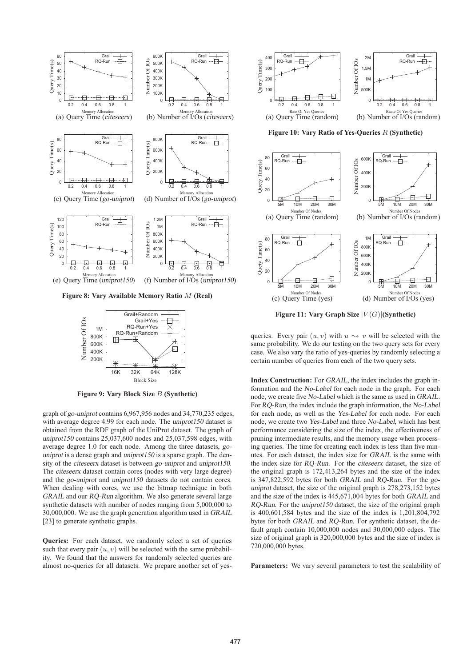



**Figure 9: Vary Block Size** B **(Synthetic)**

graph of go-uniprot contains 6,967,956 nodes and 34,770,235 edges, with average degree 4.99 for each node. The *uniprot150* dataset is obtained from the RDF graph of the UniProt dataset. The graph of uniprot150 contains 25,037,600 nodes and 25,037,598 edges, with average degree 1.0 for each node. Among the three datasets, gouniprot is a dense graph and uniprot150 is a sparse graph. The density of the citeseerx dataset is between go-uniprot and uniprot150. The citeseerx dataset contain cores (nodes with very large degree) and the go-uniprot and uniprot150 datasets do not contain cores. When dealing with cores, we use the bitmap technique in both GRAIL and our RQ-Run algorithm. We also generate several large synthetic datasets with number of nodes ranging from 5,000,000 to 30,000,000. We use the graph generation algorithm used in GRAIL [23] to generate synthetic graphs.

**Queries:** For each dataset, we randomly select a set of queries such that every pair  $(u, v)$  will be selected with the same probability. We found that the answers for randomly selected queries are almost no-queries for all datasets. We prepare another set of yes-



**Figure 10: Vary Ratio of Yes-Queries** R **(Synthetic)**



**Figure 11: Vary Graph Size** <sup>|</sup><sup>V</sup> (G)|**(Synthetic)**

queries. Every pair  $(u, v)$  with  $u \rightarrow v$  will be selected with the same probability. We do our testing on the two query sets for every case. We also vary the ratio of yes-queries by randomly selecting a certain number of queries from each of the two query sets.

**Index Construction:** For GRAIL, the index includes the graph information and the No-Label for each node in the graph. For each node, we create five No-Label which is the same as used in GRAIL. For RQ-Run, the index include the graph information, the No-Label for each node, as well as the Yes-Label for each node. For each node, we create two Yes-Label and three No-Label, which has best performance considering the size of the index, the effectiveness of pruning intermediate results, and the memory usage when processing queries. The time for creating each index is less than five minutes. For each dataset, the index size for GRAIL is the same with the index size for RQ-Run. For the citeseerx dataset, the size of the original graph is 172,413,264 bytes and the size of the index is 347,822,592 bytes for both GRAIL and RQ-Run. For the gouniprot dataset, the size of the original graph is 278,273,152 bytes and the size of the index is 445,671,004 bytes for both GRAIL and RQ-Run. For the uniprot150 dataset, the size of the original graph is 400,601,584 bytes and the size of the index is 1,201,804,792 bytes for both GRAIL and RQ-Run. For synthetic dataset, the default graph contain 10,000,000 nodes and 30,000,000 edges. The size of original graph is 320,000,000 bytes and the size of index is 720,000,000 bytes.

**Parameters:** We vary several parameters to test the scalability of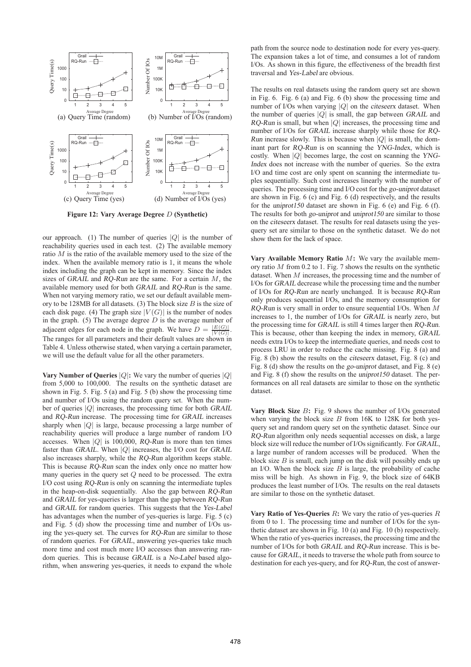

**Figure 12: Vary Average Degree** D **(Synthetic)**

our approach. (1) The number of queries  $|Q|$  is the number of reachability queries used in each test. (2) The available memory ratio M is the ratio of the available memory used to the size of the index. When the available memory ratio is 1, it means the whole index including the graph can be kept in memory. Since the index sizes of GRAIL and  $RQ$ -Run are the same. For a certain  $M$ , the available memory used for both GRAIL and RQ-Run is the same. When not varying memory ratio, we set our default available memory to be 128MB for all datasets. (3) The block size  $B$  is the size of each disk page. (4) The graph size  $|V(G)|$  is the number of nodes in the graph. (5) The average degree  $D$  is the average number of adjacent edges for each node in the graph. We have  $D = \frac{|E(G)|}{|V(G)|}$ .<br>The ranges for all parameters and their default values are obound in The ranges for all parameters and their default values are shown in Table 4. Unless otherwise stated, when varying a certain parameter, we will use the default value for all the other parameters.

**Vary Number of Queries**  $|Q|$ : We vary the number of queries  $|Q|$ from 5,000 to 100,000. The results on the synthetic dataset are shown in Fig. 5. Fig. 5 (a) and Fig. 5 (b) show the processing time and number of I/Os using the random query set. When the number of queries  $|Q|$  increases, the processing time for both GRAIL and RQ-Run increase. The processing time for GRAIL increases sharply when  $|Q|$  is large, because processing a large number of reachability queries will produce a large number of random I/O accesses. When  $|Q|$  is 100,000, RQ-Run is more than ten times faster than GRAIL. When  $|Q|$  increases, the I/O cost for GRAIL also increases sharply, while the RQ-Run algorithm keeps stable. This is because RQ-Run scan the index only once no matter how many queries in the query set  $Q$  need to be processed. The extra I/O cost using RQ-Run is only on scanning the intermediate tuples in the heap-on-disk sequentially. Also the gap between RQ-Run and GRAIL for yes-queries is larger than the gap between RQ-Run and GRAIL for random queries. This suggests that the Yes-Label has advantages when the number of yes-queries is large. Fig. 5 (c) and Fig. 5 (d) show the processing time and number of I/Os using the yes-query set. The curves for RQ-Run are similar to those of random queries. For GRAIL, answering yes-queries take much more time and cost much more I/O accesses than answering random queries. This is because GRAIL is a No-Label based algorithm, when answering yes-queries, it needs to expand the whole

path from the source node to destination node for every yes-query. The expansion takes a lot of time, and consumes a lot of random I/Os. As shown in this figure, the effectiveness of the breadth first traversal and Yes-Label are obvious.

The results on real datasets using the random query set are shown in Fig. 6. Fig. 6 (a) and Fig. 6 (b) show the processing time and number of I/Os when varying  $|Q|$  on the *citeseerx* dataset. When the number of queries  $|Q|$  is small, the gap between GRAIL and  $RQ-Run$  is small, but when  $|Q|$  increases, the processing time and number of I/Os for GRAIL increase sharply while those for RQ-Run increase slowly. This is because when  $|Q|$  is small, the dominant part for RQ-Run is on scanning the YNG-Index, which is costly. When  $|Q|$  becomes large, the cost on scanning the YNG-Index does not increase with the number of queries. So the extra I/O and time cost are only spent on scanning the intermediate tuples sequentially. Such cost increases linearly with the number of queries. The processing time and I/O cost for the go-uniprot dataset are shown in Fig. 6 (c) and Fig. 6 (d) respectively, and the results for the uniprot150 dataset are shown in Fig. 6 (e) and Fig. 6 (f). The results for both go-uniprot and uniprot150 are similar to those on the citeseerx dataset. The results for real datasets using the yesquery set are similar to those on the synthetic dataset. We do not show them for the lack of space.

**Vary Available Memory Ratio** M**:** We vary the available memory ratio  $M$  from 0.2 to 1. Fig. 7 shows the results on the synthetic dataset. When  $M$  increases, the processing time and the number of I/Os for GRAIL decrease while the processing time and the number of I/Os for RQ-Run are nearly unchanged. It is because RQ-Run only produces sequential I/Os, and the memory consumption for RQ-Run is very small in order to ensure sequential I/Os. When M increases to 1, the number of I/Os for GRAIL is nearly zero, but the processing time for GRAIL is still 4 times larger then RQ-Run. This is because, other than keeping the index in memory, GRAIL needs extra I/Os to keep the intermediate queries, and needs cost to process LRU in order to reduce the cache missing. Fig. 8 (a) and Fig. 8 (b) show the results on the citeseerx dataset, Fig. 8 (c) and Fig. 8 (d) show the results on the go-uniprot dataset, and Fig. 8 (e) and Fig. 8 (f) show the results on the uniprot150 dataset. The performances on all real datasets are similar to those on the synthetic dataset.

**Vary Block Size** B**:** Fig. 9 shows the number of I/Os generated when varying the block size  $B$  from 16K to 128K for both yesquery set and random query set on the synthetic dataset. Since our RQ-Run algorithm only needs sequential accesses on disk, a large block size will reduce the number of I/Os significantly. For GRAIL, a large number of random accesses will be produced. When the block size  $B$  is small, each jump on the disk will possibly ends up an I/O. When the block size  $B$  is large, the probability of cache miss will be high. As shown in Fig. 9, the block size of 64KB produces the least number of I/Os. The results on the real datasets are similar to those on the synthetic dataset.

**Vary Ratio of Yes-Queries** R**:** We vary the ratio of yes-queries R from 0 to 1. The processing time and number of I/Os for the synthetic dataset are shown in Fig. 10 (a) and Fig. 10 (b) respectively. When the ratio of yes-queries increases, the processing time and the number of I/Os for both GRAIL and RQ-Run increase. This is because for GRAIL, it needs to traverse the whole path from source to destination for each yes-query, and for RQ-Run, the cost of answer